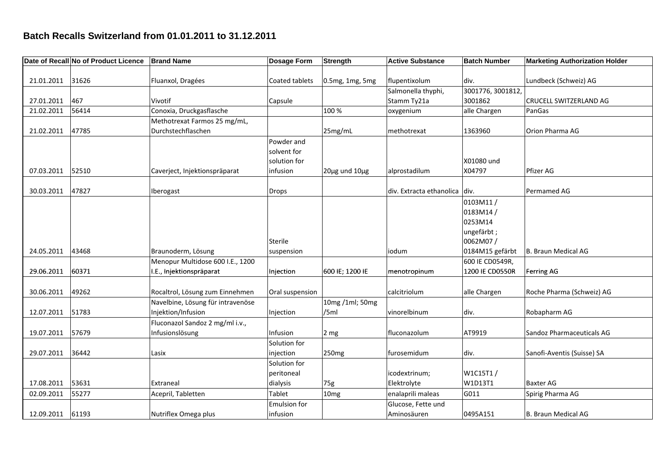## **Batch Recalls Switzerland from 01.01.2011 to 31.12.2011**

|            | Date of Recall No of Product Licence | <b>Brand Name</b>                 | Dosage Form         | Strength                | <b>Active Substance</b>  | <b>Batch Number</b> | <b>Marketing Authorization Holder</b> |
|------------|--------------------------------------|-----------------------------------|---------------------|-------------------------|--------------------------|---------------------|---------------------------------------|
|            |                                      |                                   |                     |                         |                          |                     |                                       |
| 21.01.2011 | 31626                                | Fluanxol, Dragées                 | Coated tablets      | 0.5mg, 1mg, 5mg         | flupentixolum            | div.                | Lundbeck (Schweiz) AG                 |
|            |                                      |                                   |                     |                         | Salmonella thyphi,       | 3001776, 3001812,   |                                       |
| 27.01.2011 | 467                                  | Vivotif                           | Capsule             |                         | Stamm Ty21a              | 3001862             | CRUCELL SWITZERLAND AG                |
| 21.02.2011 | 56414                                | Conoxia, Druckgasflasche          |                     | 100 %                   | oxygenium                | alle Chargen        | PanGas                                |
|            |                                      | Methotrexat Farmos 25 mg/mL,      |                     |                         |                          |                     |                                       |
| 21.02.2011 | 47785                                | Durchstechflaschen                |                     | 25mg/mL                 | methotrexat              | 1363960             | Orion Pharma AG                       |
|            |                                      |                                   | Powder and          |                         |                          |                     |                                       |
|            |                                      |                                   | solvent for         |                         |                          |                     |                                       |
|            |                                      |                                   | solution for        |                         |                          | X01080 und          |                                       |
| 07.03.2011 | 52510                                | Caverject, Injektionspräparat     | infusion            | $20\mu$ g und $10\mu$ g | alprostadilum            | X04797              | Pfizer AG                             |
|            |                                      |                                   |                     |                         |                          |                     |                                       |
| 30.03.2011 | 47827                                | Iberogast                         | Drops               |                         | div. Extracta ethanolica | div.                | Permamed AG                           |
|            |                                      |                                   |                     |                         |                          | 0103M11/            |                                       |
|            |                                      |                                   |                     |                         |                          | 0183M14/            |                                       |
|            |                                      |                                   |                     |                         |                          | 0253M14             |                                       |
|            |                                      |                                   |                     |                         |                          | ungefärbt;          |                                       |
|            |                                      |                                   | <b>Sterile</b>      |                         |                          | 0062M07/            |                                       |
| 24.05.2011 | 43468                                | Braunoderm, Lösung                | suspension          |                         | iodum                    | 0184M15 gefärbt     | <b>B. Braun Medical AG</b>            |
|            |                                      | Menopur Multidose 600 I.E., 1200  |                     |                         |                          | 600 IE CD0549R,     |                                       |
| 29.06.2011 | 60371                                | I.E., Injektionspräparat          | Injection           | 600 IE; 1200 IE         | menotropinum             | 1200 IE CD0550R     | <b>Ferring AG</b>                     |
|            |                                      |                                   |                     |                         |                          |                     |                                       |
| 30.06.2011 | 49262                                | Rocaltrol, Lösung zum Einnehmen   | Oral suspension     |                         | calcitriolum             | alle Chargen        | Roche Pharma (Schweiz) AG             |
|            |                                      | Navelbine, Lösung für intravenöse |                     | 10mg /1ml; 50mg         |                          |                     |                                       |
| 12.07.2011 | 51783                                | Injektion/Infusion                | Injection           | /5ml                    | vinorelbinum             | div.                | Robapharm AG                          |
|            |                                      | Fluconazol Sandoz 2 mg/ml i.v.,   |                     |                         |                          |                     |                                       |
| 19.07.2011 | 57679                                | Infusionslösung                   | Infusion            | 2 <sub>mg</sub>         | fluconazolum             | AT9919              | Sandoz Pharmaceuticals AG             |
|            |                                      |                                   | Solution for        |                         |                          |                     |                                       |
| 29.07.2011 | 36442                                | Lasix                             | injection           | 250 <sub>mg</sub>       | furosemidum              | div.                | Sanofi-Aventis (Suisse) SA            |
|            |                                      |                                   | Solution for        |                         |                          |                     |                                       |
|            |                                      |                                   | peritoneal          |                         | icodextrinum;            | W1C15T1/            |                                       |
| 17.08.2011 | 53631                                | Extraneal                         | dialysis            | 75g                     | Elektrolyte              | W1D13T1             | Baxter AG                             |
| 02.09.2011 | 55277                                | Acepril, Tabletten                | Tablet              | 10 <sub>mg</sub>        | enalaprili maleas        | G011                | Spirig Pharma AG                      |
|            |                                      |                                   | <b>Emulsion for</b> |                         | Glucose, Fette und       |                     |                                       |
| 12.09.2011 | 61193                                | Nutriflex Omega plus              | infusion            |                         | Aminosäuren              | 0495A151            | <b>B. Braun Medical AG</b>            |